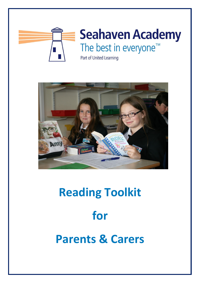



# **Reading Toolkit for Parents & Carers**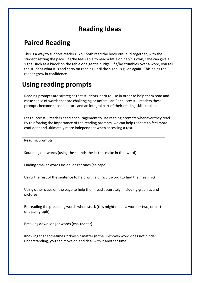# **Reading Ideas**

# **Paired Reading**

This is a way to support readers. You both read the book out loud together, with the student setting the pace. If s/he feels able to read a little on her/his own, s/he can give a signal such as a knock on the table or a gentle nudge. If s/he stumbles over a word, you tell the student what it is and carry on reading until the signal is given again. This helps the reader grow in confidence.

# **Using reading prompts**

Reading prompts are strategiesthat students learn to use in order to help them read and make sense of words that are challenging or unfamiliar. For successful readers these prompts become second nature and an integral part of their reading skills toolkit.

Less successful readers need encouragement to use reading prompts whenever they read. By reinforcing the importance of the reading prompts, we can help readers to feel more confident and ultimately more independent when accessing a text.

# **Reading prompts** Sounding out words (using the sounds the letters make in that word) Finding smaller words inside longer ones (es‐cape) Using the rest of the sentence to help with a difficult word (to find the meaning) Using other clues on the page to help them read accurately (including graphics and pictures) Re‐reading the preceding words when stuck (this might mean a word or two, or part of a paragraph) Breaking down longer words (cha‐rac‐ter) Knowing that sometimesit doesn't matter (if the unknown word does not hinder understanding, you can move on and deal with it another time)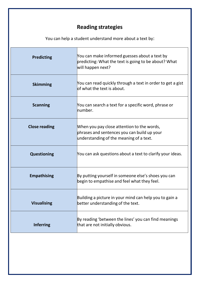### **Reading strategies**

You can help a student understand more about a text by:

| <b>Predicting</b>    | You can make informed guesses about a text by<br>predicting: What the text is going to be about? What<br>will happen next?           |
|----------------------|--------------------------------------------------------------------------------------------------------------------------------------|
| <b>Skimming</b>      | You can read quickly through a text in order to get a gist<br>lof what the text is about.                                            |
| <b>Scanning</b>      | You can search a text for a specific word, phrase or<br>lnumber.                                                                     |
| <b>Close reading</b> | When you pay close attention to the words,<br>phrases and sentences you can build up your<br>understanding of the meaning of a text. |
| <b>Questioning</b>   | You can ask questions about a text to clarify your ideas.                                                                            |
| <b>Empathising</b>   | By putting yourself in someone else's shoes you can<br>begin to empathise and feel what they feel.                                   |
| <b>Visualising</b>   | Building a picture in your mind can help you to gain a<br>better understanding of the text.                                          |
| <b>Inferring</b>     | By reading 'between the lines' you can find meanings<br>that are not initially obvious.                                              |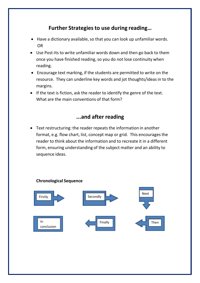#### **Further Strategiesto use during reading…**

- Have a dictionary available, so that you can look up unfamiliar words. OR
- Use Post-Its to write unfamiliar words down and then go back to them once you have finished reading, so you do not lose continuity when reading.
- Encourage text marking, if the students are permitted to write on the resource. They can underline key words and jot thoughts/ideas in to the margins.
- If the text is fiction, ask the reader to identify the genre of the text. What are the main conventions of that form?

#### **...and after reading**

• Text restructuring: the reader repeats the information in another format, e.g. flow chart, list, concept map or grid. This encourages the reader to think about the information and to recreate it in a different form, ensuring understanding of the subject matter and an ability to sequence ideas.

#### **Chronological Sequence**

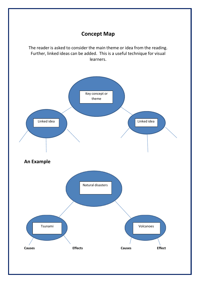